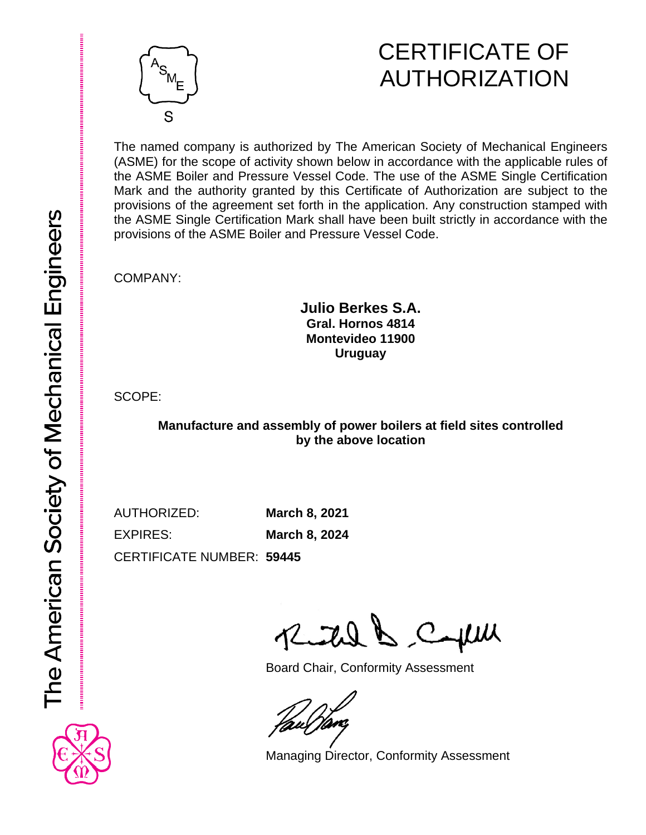

# CERTIFICATE OF AUTHORIZATION

The named company is authorized by The American Society of Mechanical Engineers (ASME) for the scope of activity shown below in accordance with the applicable rules of the ASME Boiler and Pressure Vessel Code. The use of the ASME Single Certification Mark and the authority granted by this Certificate of Authorization are subject to the provisions of the agreement set forth in the application. Any construction stamped with the ASME Single Certification Mark shall have been built strictly in accordance with the provisions of the ASME Boiler and Pressure Vessel Code.

COMPANY:

#### **Julio Berkes S.A. Gral. Hornos 4814 Montevideo 11900 Uruguay**

SCOPE:

### **Manufacture and assembly of power boilers at field sites controlled by the above location**

AUTHORIZED: **March 8, 2021** EXPIRES: **March 8, 2024**

CERTIFICATE NUMBER: **59445**

Reital & Cepul

Board Chair, Conformity Assessment

Managing Director, Conformity Assessment